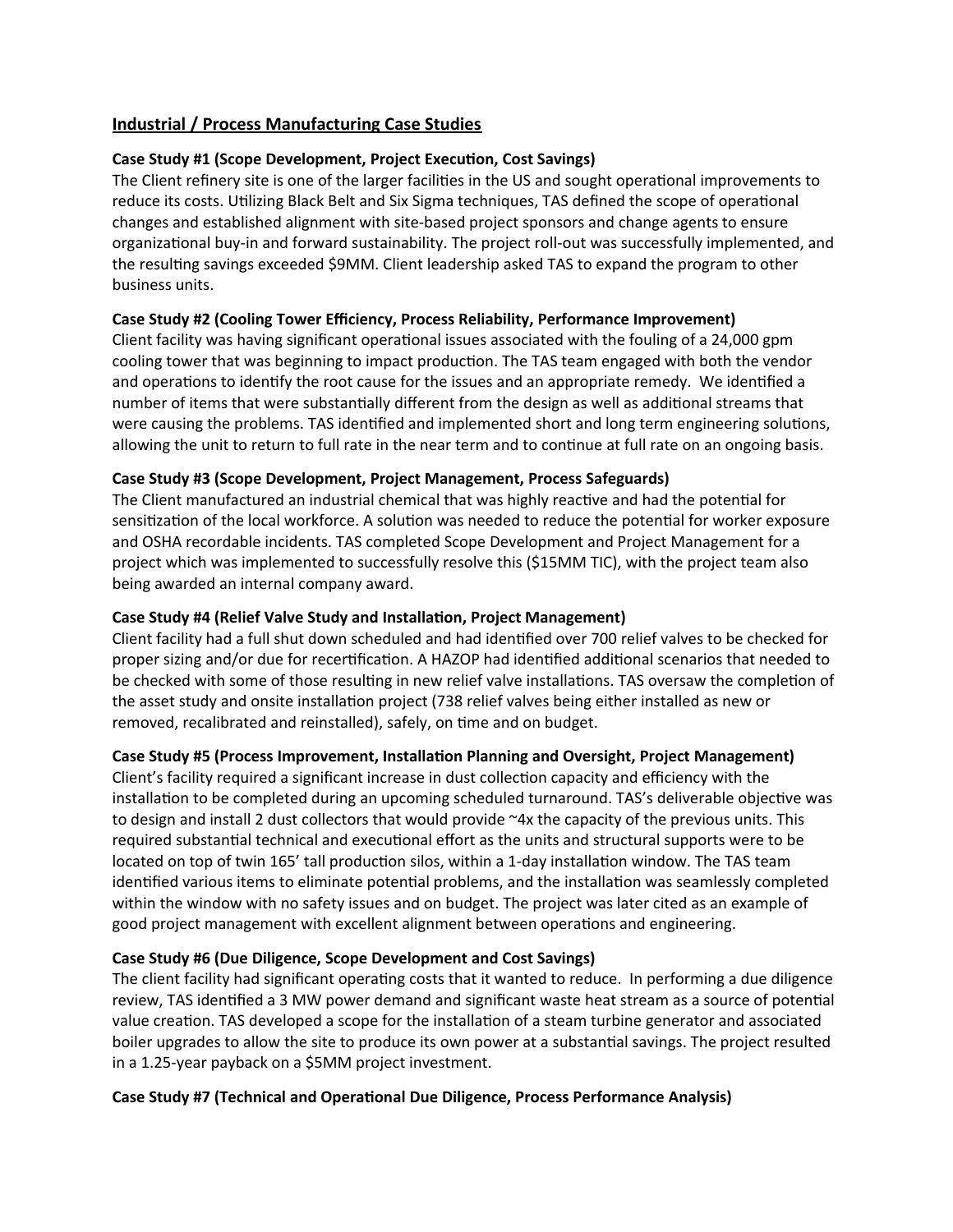# **Industrial / Process Manufacturing Case Studies**

## **Case Study #1 (Scope Development, Project Executon, Cost Savings)**

The Client refnery site is one of the larger facilites in the US and sought operatonal improvements to reduce its costs. Utilizing Black Belt and Six Sigma techniques, TAS defined the scope of operational changes and established alignment with site-based project sponsors and change agents to ensure organizational buy-in and forward sustainability. The project roll-out was successfully implemented, and the resulting savings exceeded \$9MM. Client leadership asked TAS to expand the program to other business units.

## Case Study #2 (Cooling Tower Efficiency, Process Reliability, Performance Improvement)

Client facility was having signifcant operatonal issues associated with the fouling of a 24,000 gpm cooling tower that was beginning to impact producton. The TAS team engaged with both the vendor and operations to identify the root cause for the issues and an appropriate remedy. We identified a number of items that were substantially different from the design as well as additional streams that were causing the problems. TAS identified and implemented short and long term engineering solutions, allowing the unit to return to full rate in the near term and to continue at full rate on an ongoing basis.

## **Case Study #3 (Scope Development, Project Management, Process Safeguards)**

The Client manufactured an industrial chemical that was highly reactve and had the potental for sensitization of the local workforce. A solution was needed to reduce the potential for worker exposure and OSHA recordable incidents. TAS completed Scope Development and Project Management for a project which was implemented to successfully resolve this (\$15MM TIC), with the project team also being awarded an internal company award.

## **Case Study #4 (Relief Valve Study and Installaton, Project Management)**

Client facility had a full shut down scheduled and had identified over 700 relief valves to be checked for proper sizing and/or due for recertification. A HAZOP had identified additional scenarios that needed to be checked with some of those resulting in new relief valve installations. TAS oversaw the completion of the asset study and onsite installaton project (738 relief valves being either installed as new or removed, recalibrated and reinstalled), safely, on time and on budget.

# **Case Study #5 (Process Improvement, Installaton Planning and Oversight, Project Management)**

Client's facility required a significant increase in dust collection capacity and efficiency with the installation to be completed during an upcoming scheduled turnaround. TAS's deliverable objective was to design and install 2 dust collectors that would provide ~4x the capacity of the previous units. This required substantial technical and executional effort as the units and structural supports were to be located on top of twin 165' tall production silos, within a 1-day installation window. The TAS team identified various items to eliminate potential problems, and the installation was seamlessly completed within the window with no safety issues and on budget. The project was later cited as an example of good project management with excellent alignment between operations and engineering.

# **Case Study #6 (Due Diligence, Scope Development and Cost Savings)**

The client facility had signifcant operatng costs that it wanted to reduce. In performing a due diligence review, TAS identified a 3 MW power demand and significant waste heat stream as a source of potential value creation. TAS developed a scope for the installation of a steam turbine generator and associated boiler upgrades to allow the site to produce its own power at a substantal savings. The project resulted in a 1.25-year payback on a \$5MM project investment.

## **Case Study #7 (Technical and Operatonal Due Diligence, Process Performance Analysis)**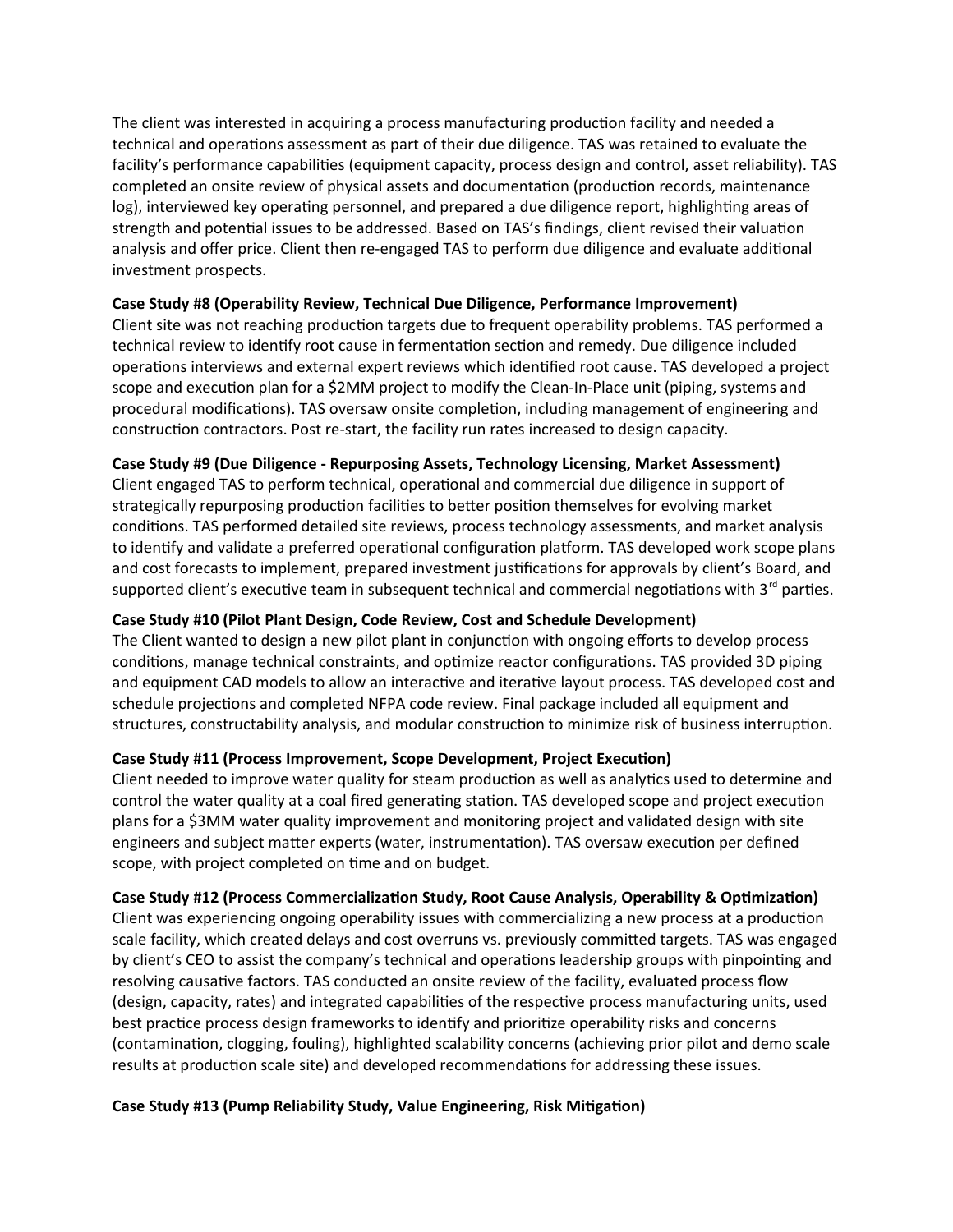The client was interested in acquiring a process manufacturing production facility and needed a technical and operatons assessment as part of their due diligence. TAS was retained to evaluate the facility's performance capabilities (equipment capacity, process design and control, asset reliability). TAS completed an onsite review of physical assets and documentation (production records, maintenance log), interviewed key operating personnel, and prepared a due diligence report, highlighting areas of strength and potential issues to be addressed. Based on TAS's findings, client revised their valuation analysis and offer price. Client then re-engaged TAS to perform due diligence and evaluate additional investment prospects.

### **Case Study #8 (Operability Review, Technical Due Diligence, Performance Improvement)**

Client site was not reaching production targets due to frequent operability problems. TAS performed a technical review to identfy root cause in fermentaton secton and remedy. Due diligence included operations interviews and external expert reviews which identified root cause. TAS developed a project scope and execution plan for a \$2MM project to modify the Clean-In-Place unit (piping, systems and procedural modifications). TAS oversaw onsite completion, including management of engineering and construction contractors. Post re-start, the facility run rates increased to design capacity.

### **Case Study #9 (Due Diligence - Repurposing Assets, Technology Licensing, Market Assessment)**

Client engaged TAS to perform technical, operatonal and commercial due diligence in support of strategically repurposing production facilities to better position themselves for evolving market conditons. TAS performed detailed site reviews, process technology assessments, and market analysis to identify and validate a preferred operational configuration platform. TAS developed work scope plans and cost forecasts to implement, prepared investment justifications for approvals by client's Board, and supported client's executive team in subsequent technical and commercial negotiations with  $3<sup>rd</sup>$  parties.

## **Case Study #10 (Pilot Plant Design, Code Review, Cost and Schedule Development)**

The Client wanted to design a new pilot plant in conjunction with ongoing efforts to develop process conditions, manage technical constraints, and optimize reactor configurations. TAS provided 3D piping and equipment CAD models to allow an interactive and iterative layout process. TAS developed cost and schedule projections and completed NFPA code review. Final package included all equipment and structures, constructability analysis, and modular construction to minimize risk of business interruption.

## **Case Study #11 (Process Improvement, Scope Development, Project Executon)**

Client needed to improve water quality for steam production as well as analytics used to determine and control the water quality at a coal fred generatng staton. TAS developed scope and project executon plans for a \$3MM water quality improvement and monitoring project and validated design with site engineers and subject matter experts (water, instrumentation). TAS oversaw execution per defined scope, with project completed on time and on budget.

#### **Case Study #12 (Process Commercializaton Study, Root Cause Analysis, Operability & Optmizaton)**

Client was experiencing ongoing operability issues with commercializing a new process at a production scale facility, which created delays and cost overruns vs. previously commited targets. TAS was engaged by client's CEO to assist the company's technical and operations leadership groups with pinpointing and resolving causatve factors. TAS conducted an onsite review of the facility, evaluated process fow (design, capacity, rates) and integrated capabilities of the respective process manufacturing units, used best practice process design frameworks to identify and prioritize operability risks and concerns (contamination, clogging, fouling), highlighted scalability concerns (achieving prior pilot and demo scale results at production scale site) and developed recommendations for addressing these issues.

## **Case Study #13 (Pump Reliability Study, Value Engineering, Risk Mitgaton)**